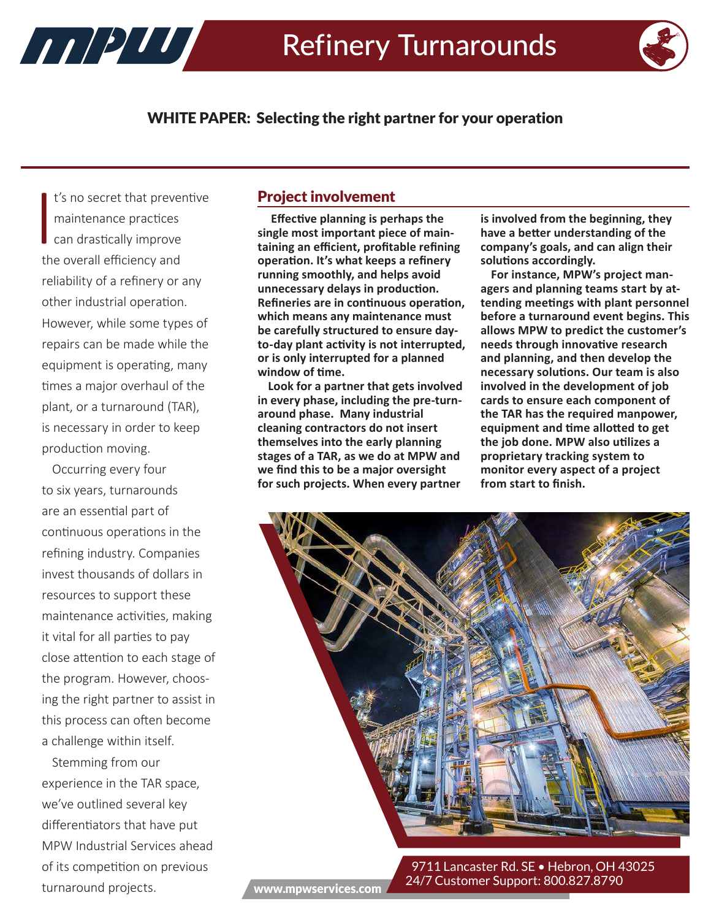

WHITE PAPER: Selecting the right partner for your operation

 $\begin{bmatrix} 1 \\ 1 \\ 1 \end{bmatrix}$ t's no secret that preventive maintenance practices can drastically improve the overall efficiency and reliability of a refinery or any other industrial operation. However, while some types of repairs can be made while the equipment is operating, many times a major overhaul of the plant, or a turnaround (TAR), is necessary in order to keep production moving.

HARRY MARINE

Occurring every four to six years, turnarounds are an essential part of continuous operations in the refining industry. Companies invest thousands of dollars in resources to support these maintenance activities, making it vital for all parties to pay close attention to each stage of the program. However, choosing the right partner to assist in this process can often become a challenge within itself.

Stemming from our experience in the TAR space, we've outlined several key differentiators that have put MPW Industrial Services ahead of its competition on previous turnaround projects.

## Project involvement

 **Effective planning is perhaps the single most important piece of maintaining an efficient, profitable refining operation. It's what keeps a refinery running smoothly, and helps avoid unnecessary delays in production. Refineries are in continuous operation, which means any maintenance must be carefully structured to ensure dayto-day plant activity is not interrupted, or is only interrupted for a planned window of time.** 

**Look for a partner that gets involved in every phase, including the pre-turnaround phase. Many industrial cleaning contractors do not insert themselves into the early planning stages of a TAR, as we do at MPW and we find this to be a major oversight for such projects. When every partner** 

**is involved from the beginning, they have a better understanding of the company's goals, and can align their solutions accordingly.**

**For instance, MPW's project managers and planning teams start by attending meetings with plant personnel before a turnaround event begins. This allows MPW to predict the customer's needs through innovative research and planning, and then develop the necessary solutions. Our team is also involved in the development of job cards to ensure each component of the TAR has the required manpower, equipment and time allotted to get the job done. MPW also utilizes a proprietary tracking system to monitor every aspect of a project from start to finish.** 



9711 Lancaster Rd. SE · Hebron, OH 43025 24/7 Customer Support: 800.827.8790 www.mpwservices.com